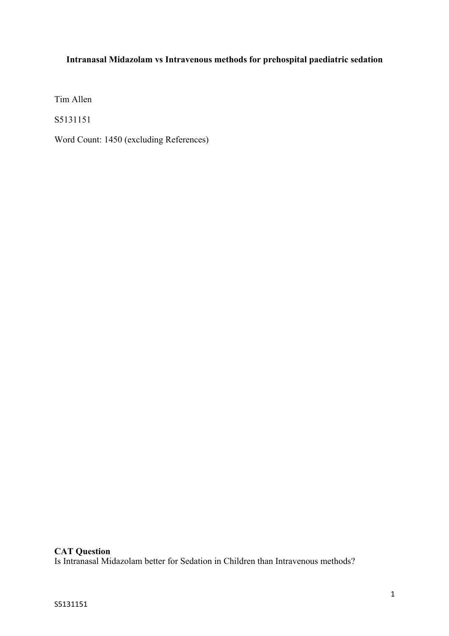# **Intranasal Midazolam vs Intravenous methods for prehospital paediatric sedation**

Tim Allen

S5131151

Word Count: 1450 (excluding References)

# **CAT Question**

Is Intranasal Midazolam better for Sedation in Children than Intravenous methods?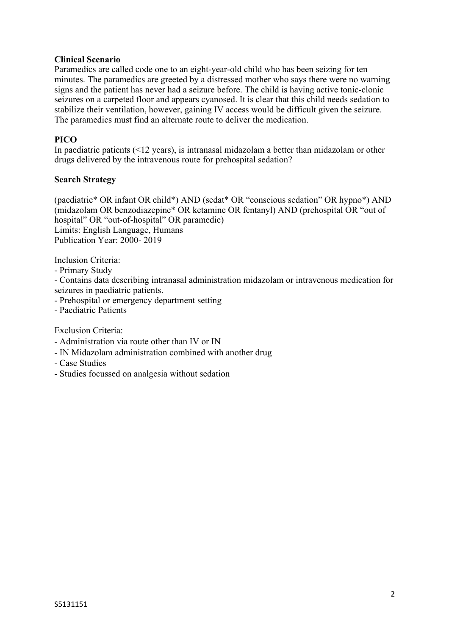## **Clinical Scenario**

Paramedics are called code one to an eight-year-old child who has been seizing for ten minutes. The paramedics are greeted by a distressed mother who says there were no warning signs and the patient has never had a seizure before. The child is having active tonic-clonic seizures on a carpeted floor and appears cyanosed. It is clear that this child needs sedation to stabilize their ventilation, however, gaining IV access would be difficult given the seizure. The paramedics must find an alternate route to deliver the medication.

# **PICO**

In paediatric patients (<12 years), is intranasal midazolam a better than midazolam or other drugs delivered by the intravenous route for prehospital sedation?

#### **Search Strategy**

(paediatric\* OR infant OR child\*) AND (sedat\* OR "conscious sedation" OR hypno\*) AND (midazolam OR benzodiazepine\* OR ketamine OR fentanyl) AND (prehospital OR "out of hospital" OR "out-of-hospital" OR paramedic) Limits: English Language, Humans Publication Year: 2000- 2019

Inclusion Criteria:

- Primary Study

- Contains data describing intranasal administration midazolam or intravenous medication for seizures in paediatric patients.

- Prehospital or emergency department setting

- Paediatric Patients

Exclusion Criteria:

- Administration via route other than IV or IN
- IN Midazolam administration combined with another drug
- Case Studies
- Studies focussed on analgesia without sedation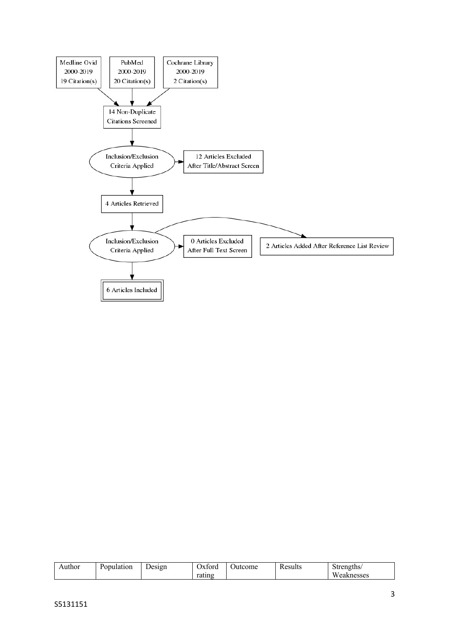

| uthor. | T.<br>Population | $\overline{\phantom{a}}$<br>Jesign | $1x+$<br>orc | ome<br>лт | Ð<br>esults<br>∼ | Strengths/  |
|--------|------------------|------------------------------------|--------------|-----------|------------------|-------------|
|        |                  |                                    | rating       |           |                  | W<br>nesses |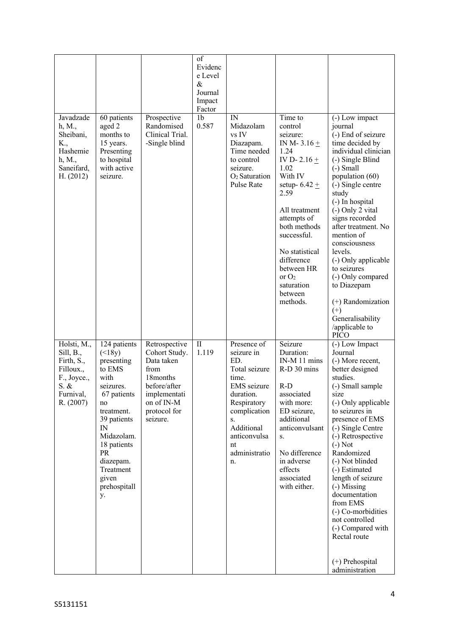|                                                                                                      |                                                                                                                                                                                                                    |                                                                                                                                            | of<br>Evidenc<br>e Level<br>$\&$<br>Journal<br>Impact<br>Factor |                                                                                                                                                                                        |                                                                                                                                                                                                                                                                                        |                                                                                                                                                                                                                                                                                                                                                                                                                                                                    |
|------------------------------------------------------------------------------------------------------|--------------------------------------------------------------------------------------------------------------------------------------------------------------------------------------------------------------------|--------------------------------------------------------------------------------------------------------------------------------------------|-----------------------------------------------------------------|----------------------------------------------------------------------------------------------------------------------------------------------------------------------------------------|----------------------------------------------------------------------------------------------------------------------------------------------------------------------------------------------------------------------------------------------------------------------------------------|--------------------------------------------------------------------------------------------------------------------------------------------------------------------------------------------------------------------------------------------------------------------------------------------------------------------------------------------------------------------------------------------------------------------------------------------------------------------|
| Javadzade<br>h, M.,<br>Sheibani,<br>K.,<br>Hashemie<br>h, M.,<br>Saneifard,<br>H. (2012)             | 60 patients<br>aged 2<br>months to<br>15 years.<br>Presenting<br>to hospital<br>with active<br>seizure.                                                                                                            | Prospective<br>Randomised<br>Clinical Trial.<br>-Single blind                                                                              | 1 <sub>b</sub><br>0.587                                         | IN<br>Midazolam<br>vs IV<br>Diazapam.<br>Time needed<br>to control<br>seizure.<br>O <sub>2</sub> Saturation<br>Pulse Rate                                                              | Time to<br>control<br>seizure:<br>IN M-3.16 $+$<br>1.24<br>IV D- 2.16 $+$<br>1.02<br>With IV<br>setup- $6.42 \pm$<br>2.59<br>All treatment<br>attempts of<br>both methods<br>successful.<br>No statistical<br>difference<br>between HR<br>or $O2$<br>saturation<br>between<br>methods. | (-) Low impact<br>journal<br>(-) End of seizure<br>time decided by<br>individual clinician<br>(-) Single Blind<br>$(-)$ Small<br>population (60)<br>(-) Single centre<br>study<br>(-) In hospital<br>(-) Only 2 vital<br>signs recorded<br>after treatment. No<br>mention of<br>consciousness<br>levels.<br>(-) Only applicable<br>to seizures<br>(-) Only compared<br>to Diazepam<br>$(+)$ Randomization<br>$(+)$<br>Generalisability<br>/applicable to<br>PICO   |
| Holsti, M.,<br>Sill, B.,<br>Firth, S.,<br>Filloux.,<br>F., Joyce.,<br>S. &<br>Furnival,<br>R. (2007) | 124 patients<br>(<br>presenting<br>to EMS<br>with<br>seizures.<br>67 patients<br>no<br>treatment.<br>39 patients<br>IN<br>Midazolam.<br>18 patients<br>PR<br>diazepam.<br>Treatment<br>given<br>prehospitall<br>у. | Retrospective<br>Cohort Study.<br>Data taken<br>from<br>18months<br>before/after<br>implementati<br>on of IN-M<br>protocol for<br>seizure. | $\mathbf{I}$<br>1.119                                           | Presence of<br>seizure in<br>ED.<br>Total seizure<br>time.<br>EMS seizure<br>duration.<br>Respiratory<br>complication<br>S.<br>Additional<br>anticonvulsa<br>nt<br>administratio<br>n. | Seizure<br>Duration:<br>IN-M 11 mins<br>R-D 30 mins<br>$R-D$<br>associated<br>with more:<br>ED seizure,<br>additional<br>anticonvulsant<br>S.<br>No difference<br>in adverse<br>effects<br>associated<br>with either.                                                                  | (-) Low Impact<br>Journal<br>(-) More recent,<br>better designed<br>studies.<br>(-) Small sample<br>size<br>(-) Only applicable<br>to seizures in<br>presence of EMS<br>(-) Single Centre<br>(-) Retrospective<br>$(-)$ Not<br>Randomized<br>(-) Not blinded<br>(-) Estimated<br>length of seizure<br>(-) Missing<br>documentation<br>from EMS<br>(-) Co-morbidities<br>not controlled<br>(-) Compared with<br>Rectal route<br>$(+)$ Prehospital<br>administration |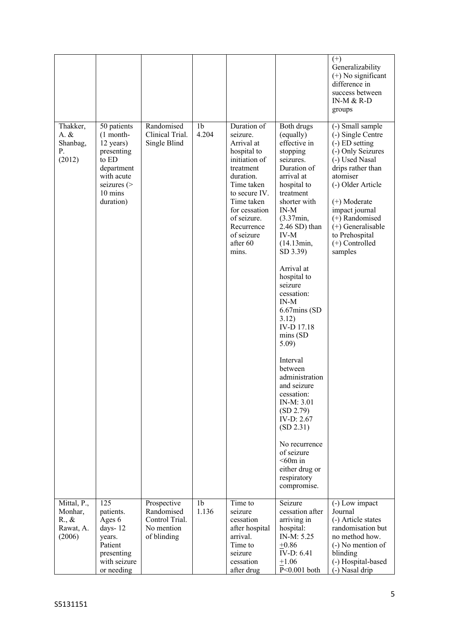|                                                                  |                                                                                                                                    |                                                                          |                         |                                                                                                                                                                                                                               |                                                                                                                                                                                                                                                                                                                                                                                                                                                                                                                                                                                      | $(+)$<br>Generalizability<br>$(+)$ No significant<br>difference in<br>success between<br>IN-M $&$ R-D<br>groups                                                                                                                                                                    |
|------------------------------------------------------------------|------------------------------------------------------------------------------------------------------------------------------------|--------------------------------------------------------------------------|-------------------------|-------------------------------------------------------------------------------------------------------------------------------------------------------------------------------------------------------------------------------|--------------------------------------------------------------------------------------------------------------------------------------------------------------------------------------------------------------------------------------------------------------------------------------------------------------------------------------------------------------------------------------------------------------------------------------------------------------------------------------------------------------------------------------------------------------------------------------|------------------------------------------------------------------------------------------------------------------------------------------------------------------------------------------------------------------------------------------------------------------------------------|
| Thakker,<br>$A. \&$<br>Shanbag,<br>Р.<br>(2012)                  | 50 patients<br>$(1$ month-<br>12 years)<br>presenting<br>to ED<br>department<br>with acute<br>seizures $($<br>10 mins<br>duration) | Randomised<br>Clinical Trial.<br>Single Blind                            | 1 <sub>b</sub><br>4.204 | Duration of<br>seizure.<br>Arrival at<br>hospital to<br>initiation of<br>treatment<br>duration.<br>Time taken<br>to secure IV.<br>Time taken<br>for cessation<br>of seizure.<br>Recurrence<br>of seizure<br>after 60<br>mins. | Both drugs<br>(equally)<br>effective in<br>stopping<br>seizures.<br>Duration of<br>arrival at<br>hospital to<br>treatment<br>shorter with<br>$IN-M$<br>(3.37min,<br>$2.46$ SD) than<br><b>IV-M</b><br>(14.13min,<br>SD 3.39)<br>Arrival at<br>hospital to<br>seizure<br>cessation:<br>$IN-M$<br>$6.67$ mins (SD<br>3.12)<br>IV-D 17.18<br>mins(SD)<br>5.09)<br>Interval<br>between<br>administration<br>and seizure<br>cessation:<br>IN-M: 3.01<br>(SD 2.79)<br>IV-D: 2.67<br>(SD 2.31)<br>No recurrence<br>of seizure<br>$<$ 60m in<br>either drug or<br>respiratory<br>compromise. | (-) Small sample<br>(-) Single Centre<br>$(-)$ ED setting<br>(-) Only Seizures<br>(-) Used Nasal<br>drips rather than<br>atomiser<br>(-) Older Article<br>(+) Moderate<br>impact journal<br>(+) Randomised<br>$(+)$ Generalisable<br>to Prehospital<br>$(+)$ Controlled<br>samples |
| Mittal, P.,<br>Monhar,<br>$R_{\cdot}, \&$<br>Rawat, A.<br>(2006) | 125<br>patients.<br>Ages 6<br>days-12<br>years.<br>Patient<br>presenting<br>with seizure<br>or needing                             | Prospective<br>Randomised<br>Control Trial.<br>No mention<br>of blinding | 1 <sub>b</sub><br>1.136 | $\overline{T}$ ime to<br>seizure<br>cessation<br>after hospital<br>arrival.<br>Time to<br>seizure<br>cessation<br>after drug                                                                                                  | Seizure<br>cessation after<br>arriving in<br>hospital:<br>IN-M: 5.25<br>$+0.86$<br>IV-D: 6.41<br>$+1.06$<br>$P<0.001$ both                                                                                                                                                                                                                                                                                                                                                                                                                                                           | (-) Low impact<br>Journal<br>(-) Article states<br>randomisation but<br>no method how.<br>(-) No mention of<br>blinding<br>(-) Hospital-based<br>(-) Nasal drip                                                                                                                    |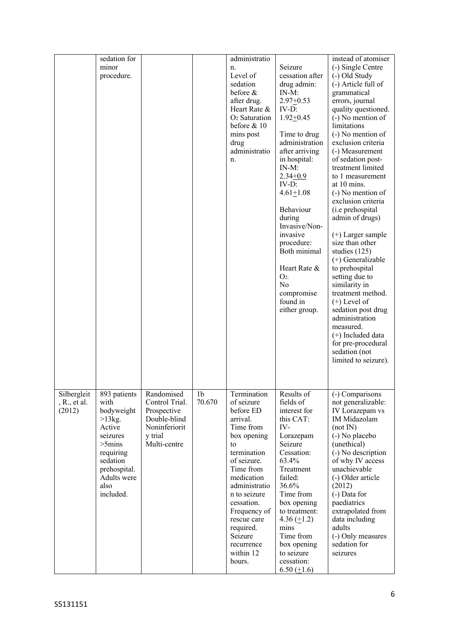|                                       | sedation for<br>minor<br>procedure.                                                                                                                             |                                                                                                         |              | administratio<br>n.<br>Level of<br>sedation<br>before &<br>after drug.<br>Heart Rate &<br>$O2$ Saturation<br>before $& 10$<br>mins post<br>drug<br>administratio<br>n.                                                                                                                   | Seizure<br>cessation after<br>drug admin:<br>$IN-M$ :<br>$2.97+0.53$<br>IV-D:<br>$1.92 + 0.45$<br>Time to drug<br>administration<br>after arriving<br>in hospital:<br>$IN-M$ :<br>$2.34 + 0.9$<br>$IV-D$ :<br>$4.61 \pm 1.08$<br>Behaviour<br>during<br>Invasive/Non-<br>invasive<br>procedure:<br>Both minimal<br>Heart Rate &<br>$O_{2}$<br>No<br>compromise<br>found in<br>either group. | instead of atomiser<br>(-) Single Centre<br>(-) Old Study<br>(-) Article full of<br>grammatical<br>errors, journal<br>quality questioned.<br>(-) No mention of<br>limitations<br>(-) No mention of<br>exclusion criteria<br>(-) Measurement<br>of sedation post-<br>treatment limited<br>to 1 measurement<br>at 10 mins.<br>$(-)$ No mention of<br>exclusion criteria<br>(i.e prehospital<br>admin of drugs)<br>$(+)$ Larger sample<br>size than other<br>studies (125)<br>(+) Generalizable<br>to prehospital<br>setting due to<br>similarity in<br>treatment method.<br>$(+)$ Level of<br>sedation post drug<br>administration<br>measured.<br>$(+)$ Included data<br>for pre-procedural<br>sedation (not<br>limited to seizure). |
|---------------------------------------|-----------------------------------------------------------------------------------------------------------------------------------------------------------------|---------------------------------------------------------------------------------------------------------|--------------|------------------------------------------------------------------------------------------------------------------------------------------------------------------------------------------------------------------------------------------------------------------------------------------|---------------------------------------------------------------------------------------------------------------------------------------------------------------------------------------------------------------------------------------------------------------------------------------------------------------------------------------------------------------------------------------------|-------------------------------------------------------------------------------------------------------------------------------------------------------------------------------------------------------------------------------------------------------------------------------------------------------------------------------------------------------------------------------------------------------------------------------------------------------------------------------------------------------------------------------------------------------------------------------------------------------------------------------------------------------------------------------------------------------------------------------------|
| Silbergleit<br>, R., et al.<br>(2012) | 893 patients<br>with<br>bodyweight<br>$>13kg$ .<br>Active<br>seizures<br>$>5$ mins<br>requiring<br>sedation<br>prehospital.<br>Adults were<br>also<br>included. | Randomised<br>Control Trial.<br>Prospective<br>Double-blind<br>Noninferiorit<br>y trial<br>Multi-centre | 1b<br>70.670 | Termination<br>of seizure<br>before ED<br>arrival.<br>Time from<br>box opening<br>to<br>termination<br>of seizure.<br>Time from<br>medication<br>administratio<br>n to seizure<br>cessation.<br>Frequency of<br>rescue care<br>required.<br>Seizure<br>recurrence<br>within 12<br>hours. | Results of<br>fields of<br>interest for<br>this CAT:<br>IV-<br>Lorazepam<br>Seizure<br>Cessation:<br>63.4%<br>Treatment<br>failed:<br>36.6%<br>Time from<br>box opening<br>to treatment:<br>4.36 $(\pm 1.2)$<br>mins<br>Time from<br>box opening<br>to seizure<br>cessation:<br>6.50 $(\pm 1.6)$                                                                                            | (-) Comparisons<br>not generalizable:<br>IV Lorazepam vs<br>IM Midazolam<br>(not IN)<br>(-) No placebo<br>(unethical)<br>(-) No description<br>of why IV access<br>unachievable<br>(-) Older article<br>(2012)<br>(-) Data for<br>paediatrics<br>extrapolated from<br>data including<br>adults<br>(-) Only measures<br>sedation for<br>seizures                                                                                                                                                                                                                                                                                                                                                                                     |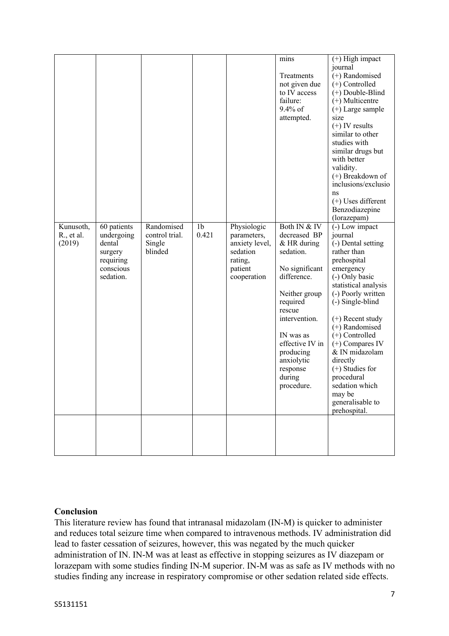|                                   |                                                                                       |                                                   |                         |                                                                                               | mins<br>Treatments<br>not given due<br>to IV access<br>failure:<br>$9.4\%$ of<br>attempted.                                                                                                                                                      | $(+)$ High impact<br>journal<br>(+) Randomised<br>(+) Controlled<br>(+) Double-Blind<br>$(+)$ Multicentre<br>$(+)$ Large sample<br>size<br>$(+)$ IV results<br>similar to other<br>studies with<br>similar drugs but<br>with better<br>validity.<br>(+) Breakdown of<br>inclusions/exclusio<br>ns<br>$(+)$ Uses different<br>Benzodiazepine<br>(lorazepam)                                       |
|-----------------------------------|---------------------------------------------------------------------------------------|---------------------------------------------------|-------------------------|-----------------------------------------------------------------------------------------------|--------------------------------------------------------------------------------------------------------------------------------------------------------------------------------------------------------------------------------------------------|--------------------------------------------------------------------------------------------------------------------------------------------------------------------------------------------------------------------------------------------------------------------------------------------------------------------------------------------------------------------------------------------------|
| Kunusoth,<br>R., et al.<br>(2019) | 60 patients<br>undergoing<br>dental<br>surgery<br>requiring<br>conscious<br>sedation. | Randomised<br>control trial.<br>Single<br>blinded | 1 <sub>b</sub><br>0.421 | Physiologic<br>parameters,<br>anxiety level,<br>sedation<br>rating,<br>patient<br>cooperation | Both IN & IV<br>decreased BP<br>& HR during<br>sedation.<br>No significant<br>difference.<br>Neither group<br>required<br>rescue<br>intervention.<br>IN was as<br>effective IV in<br>producing<br>anxiolytic<br>response<br>during<br>procedure. | (-) Low impact<br>journal<br>(-) Dental setting<br>rather than<br>prehospital<br>emergency<br>(-) Only basic<br>statistical analysis<br>(-) Poorly written<br>(-) Single-blind<br>$(+)$ Recent study<br>(+) Randomised<br>$(+)$ Controlled<br>$(+)$ Compares IV<br>& IN midazolam<br>directly<br>$(+)$ Studies for<br>procedural<br>sedation which<br>may be<br>generalisable to<br>prehospital. |
|                                   |                                                                                       |                                                   |                         |                                                                                               |                                                                                                                                                                                                                                                  |                                                                                                                                                                                                                                                                                                                                                                                                  |

## **Conclusion**

This literature review has found that intranasal midazolam (IN-M) is quicker to administer and reduces total seizure time when compared to intravenous methods. IV administration did lead to faster cessation of seizures, however, this was negated by the much quicker administration of IN. IN-M was at least as effective in stopping seizures as IV diazepam or lorazepam with some studies finding IN-M superior. IN-M was as safe as IV methods with no studies finding any increase in respiratory compromise or other sedation related side effects.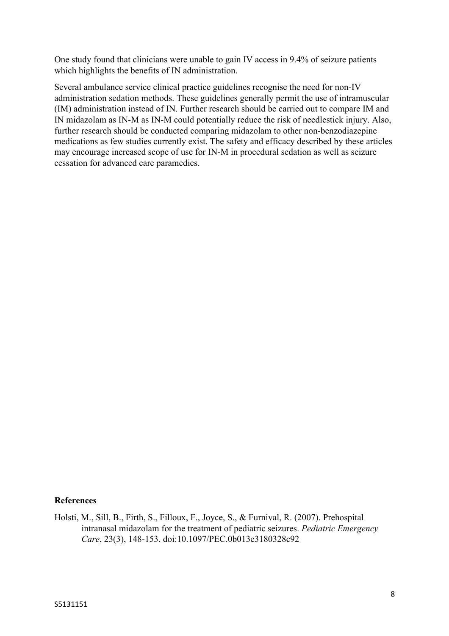One study found that clinicians were unable to gain IV access in 9.4% of seizure patients which highlights the benefits of IN administration.

Several ambulance service clinical practice guidelines recognise the need for non-IV administration sedation methods. These guidelines generally permit the use of intramuscular (IM) administration instead of IN. Further research should be carried out to compare IM and IN midazolam as IN-M as IN-M could potentially reduce the risk of needlestick injury. Also, further research should be conducted comparing midazolam to other non-benzodiazepine medications as few studies currently exist. The safety and efficacy described by these articles may encourage increased scope of use for IN-M in procedural sedation as well as seizure cessation for advanced care paramedics.

## **References**

Holsti, M., Sill, B., Firth, S., Filloux, F., Joyce, S., & Furnival, R. (2007). Prehospital intranasal midazolam for the treatment of pediatric seizures. *Pediatric Emergency Care*, 23(3), 148-153. doi:10.1097/PEC.0b013e3180328c92